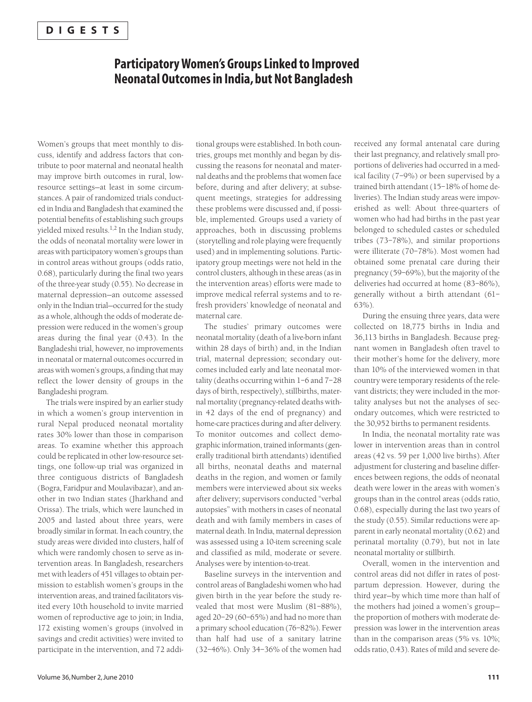### **Participatory Women's Groups Linked to Improved Neonatal Outcomes in India, but Not Bangladesh**

Women's groups that meet monthly to discuss, identify and address factors that contribute to poor maternal and neonatal health may improve birth outcomes in rural, lowresource settings—at least in some circumstances. A pair of randomized trials conducted in India and Bangladesh that examined the potential benefits of establishing such groups yielded mixed results.<sup>1,2</sup> In the Indian study, the odds of neonatal mortality were lower in areas with participatory women's groups than in control areas without groups (odds ratio, 0.68), particularly during the final two years of the three-year study (0.55). No decrease in maternal depression—an outcome assessed only in the Indian trial—occurred for the study as a whole, although the odds of moderate depression were reduced in the women's group areas during the final year (0.43). In the Bangladeshi trial, however, no improvements in neonatal or maternal outcomes occurred in areas with women's groups, a finding that may reflect the lower density of groups in the Bangladeshi program.

The trials were inspired by an earlier study in which a women's group intervention in rural Nepal produced neonatal mortality rates 30% lower than those in comparison areas. To examine whether this approach could be replicated in other low-resource settings, one follow-up trial was organized in three contiguous districts of Bangladesh (Bogra, Faridpur and Moulavibazar), and another in two Indian states (Jharkhand and Orissa). The trials, which were launched in 2005 and lasted about three years, were broadly similar in format. In each country, the study areas were divided into clusters, half of which were randomly chosen to serve as intervention areas. In Bangladesh, researchers met with leaders of 451 villages to obtain permission to establish women's groups in the intervention areas, and trained facilitators visited every 10th household to invite married women of reproductive age to join; in India, 172 existing women's groups (involved in savings and credit activities) were invited to participate in the intervention, and 72 addi-

tional groups were established. In both countries, groups met monthly and began by discussing the reasons for neonatal and maternal deaths and the problems that women face before, during and after delivery; at subsequent meetings, strategies for addressing these problems were discussed and, if possible, implemented. Groups used a variety of approaches, both in discussing problems (storytelling and role playing were frequently used) and in implementing solutions. Participatory group meetings were not held in the control clusters, although in these areas (as in the intervention areas) efforts were made to improve medical referral systems and to refresh providers' knowledge of neonatal and maternal care.

The studies' primary outcomes were neonatal mortality (death of a live-born infant within 28 days of birth) and, in the Indian trial, maternal depression; secondary outcomes included early and late neonatal mortality (deaths occurring within 1–6 and 7–28 days of birth, respectively), stillbirths, maternal mortality (pregnancy-related deaths within 42 days of the end of pregnancy) and home-care practices during and after delivery. To monitor outcomes and collect demographic information, trained informants (generally traditional birth attendants) identified all births, neonatal deaths and maternal deaths in the region, and women or family members were interviewed about six weeks after delivery; supervisors conducted "verbal autopsies" with mothers in cases of neonatal death and with family members in cases of maternal death. In India, maternal depression was assessed using a 10-item screening scale and classified as mild, moderate or severe. Analyses were by intention-to-treat.

Baseline surveys in the intervention and control areas of Bangladeshi women who had given birth in the year before the study revealed that most were Muslim (81–88%), aged 20–29 (60–65%) and had no more than a primary school education (76–82%). Fewer than half had use of a sanitary latrine (32–46%). Only 34–36% of the women had

received any formal antenatal care during their last pregnancy, and relatively small proportions of deliveries had occurred in a medical facility (7–9%) or been supervised by a trained birth attendant (15–18% of home deliveries). The Indian study areas were impoverished as well: About three-quarters of women who had had births in the past year belonged to scheduled castes or scheduled tribes (73–78%), and similar proportions were illiterate (70–78%). Most women had obtained some prenatal care during their pregnancy (59–69%), but the majority of the deliveries had occurred at home (83–86%), generally without a birth attendant (61– 63%).

During the ensuing three years, data were collected on 18,775 births in India and 36,113 births in Bangladesh. Because pregnant women in Bangladesh often travel to their mother's home for the delivery, more than 10% of the interviewed women in that country were temporary residents of the relevant districts; they were included in the mortality analyses but not the analyses of secondary outcomes, which were restricted to the 30,952 births to permanent residents.

In India, the neonatal mortality rate was lower in intervention areas than in control areas (42 vs. 59 per 1,000 live births). After adjustment for clustering and baseline differences between regions, the odds of neonatal death were lower in the areas with women's groups than in the control areas (odds ratio, 0.68), especially during the last two years of the study (0.55). Similar reductions were apparent in early neonatal mortality (0.62) and perinatal mortality (0.79), but not in late neonatal mortality or stillbirth.

Overall, women in the intervention and control areas did not differ in rates of postpartum depression. However, during the third year—by which time more than half of the mothers had joined a women's group the proportion of mothers with moderate depression was lower in the intervention areas than in the comparison areas (5% vs. 10%; odds ratio, 0.43). Rates of mild and severe de-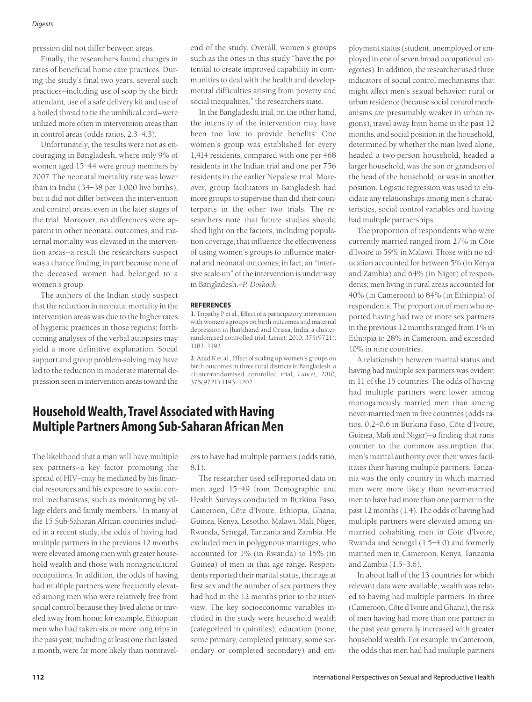#### *Digests*

pression did not differ between areas.

Finally, the researchers found changes in rates of beneficial home care practices. During the study's final two years, several such practices—including use of soap by the birth attendant, use of a safe delivery kit and use of a boiled thread to tie the umbilical cord—were utilized more often in intervention areas than in control areas (odds ratios, 2.3–4.3).

Unfortunately, the results were not as encouraging in Bangladesh, where only 9% of women aged 15–44 were group members by 2007. The neonatal mortality rate was lower than in India (34–38 per 1,000 live births), but it did not differ between the intervention and control areas, even in the later stages of the trial. Moreover, no differences were apparent in other neonatal outcomes, and maternal mortality was elevated in the intervention areas—a result the researchers suspect was a chance finding, in part because none of the deceased women had belonged to a women's group.

The authors of the Indian study suspect that the reduction in neonatal mortality in the intervention areas was due to the higher rates of hygienic practices in those regions; forthcoming analyses of the verbal autopsies may yield a more definitive explanation. Social support and group problem-solving may have led to the reduction in moderate maternal depression seen in intervention areas toward the end of the study. Overall, women's groups such as the ones in this study "have the potential to create improved capability in communities to deal with the health and developmental difficulties arising from poverty and social inequalities," the researchers state.

In the Bangladeshi trial, on the other hand, the intensity of the intervention may have been too low to provide benefits: One women's group was established for every 1,414 residents, compared with one per 468 residents in the Indian trial and one per 756 residents in the earlier Nepalese trial. Moreover, group facilitators in Bangladesh had more groups to supervise than did their counterparts in the other two trials. The researchers note that future studies should shed light on the factors, including population coverage, that influence the effectiveness of using women's groups to influence maternal and neonatal outcomes; in fact, an "intensive scale-up" of the intervention is under way in Bangladesh.*—P. Doskoch*

### **REFERENCES**

**1.** Tripathy P et al., Effect of a participatory intervention with women's groups on birth outcomes and maternal depression in Jharkhand and Orissa, India: a clusterrandomised controlled trial, *Lancet,* 2010, 375(9721): 1182–1192.

**2.** Azad K et al., Effect of scaling up women's groups on birth outcomes in three rural districts in Bangladesh: a cluster-randomised controlled trial, *Lancet,* 2010, 375(9721):1193–1202.

# **Household Wealth, Travel Associated with Having Multiple Partners Among Sub-Saharan African Men**

The likelihood that a man will have multiple sex partners—a key factor promoting the spread of HIV—may be mediated by his financial resources and his exposure to social control mechanisms, such as monitoring by village elders and family members.<sup>1</sup> In many of the 15 Sub-Saharan African countries included in a recent study, the odds of having had multiple partners in the previous 12 months were elevated among men with greater household wealth and those with nonagricultural occupations. In addition, the odds of having had multiple partners were frequently elevated among men who were relatively free from social control because they lived alone or traveled away from home; for example, Ethiopian men who had taken six or more long trips in the past year, including at least one that lasted a month, were far more likely than nontravel-

ers to have had multiple partners (odds ratio, 8.1).

The researcher used self-reported data on men aged 15–49 from Demographic and Health Surveys conducted in Burkina Faso, Cameroon, Côte d'Ivoire, Ethiopia, Ghana, Guinea, Kenya, Lesotho, Malawi, Mali, Niger, Rwanda, Senegal, Tanzania and Zambia. He excluded men in polygynous marriages, who accounted for 1% (in Rwanda) to 15% (in Guinea) of men in that age range. Respondents reported their marital status, their age at first sex and the number of sex partners they had had in the 12 months prior to the interview. The key socioeconomic variables included in the study were household wealth (categorized in quintiles), education (none, some primary, completed primary, some secondary or completed secondary) and em-

ployment status (student, unemployed or employed in one of seven broad occupational categories). In addition, the researcher used three indicators of social control mechanisms that might affect men's sexual behavior: rural or urban residence (because social control mechanisms are presumably weaker in urban regions), travel away from home in the past 12 months, and social position in the household, determined by whether the man lived alone, headed a two-person household, headed a larger household, was the son or grandson of the head of the household, or was in another position. Logistic regression was used to elucidate any relationships among men's characteristics, social control variables and having had multiple partnerships.

The proportion of respondents who were currently married ranged from 27% in Côte d'Ivoire to 59% in Malawi. Those with no education accounted for between 5% (in Kenya and Zambia) and 64% (in Niger) of respondents; men living in rural areas accounted for 40% (in Cameroon) to 84% (in Ethiopia) of respondents. The proportion of men who reported having had two or more sex partners in the previous 12 months ranged from 1% in Ethiopia to 28% in Cameroon, and exceeded 10% in nine countries.

A relationship between marital status and having had multiple sex partners was evident in 11 of the 15 countries. The odds of having had multiple partners were lower among monogamously married men than among never-married men in five countries (odds ratios, 0.2–0.6 in Burkina Faso, Côte d'Ivoire, Guinea, Mali and Niger)—a finding that runs counter to the common assumption that men's marital authority over their wives facilitates their having multiple partners. Tanzania was the only country in which married men were more likely than never-married men to have had more than one partner in the past 12 months (1.4). The odds of having had multiple partners were elevated among unmarried cohabiting men in Côte d'Ivoire, Rwanda and Senegal (1.5–4.0) and formerly married men in Cameroon, Kenya, Tanzania and Zambia (1.5–3.6).

In about half of the 13 countries for which relevant data were available, wealth was related to having had multiple partners. In three (Cameroon, Côte d'Ivoire and Ghana), the risk of men having had more than one partner in the past year generally increased with greater household wealth. For example, in Cameroon, the odds that men had had multiple partners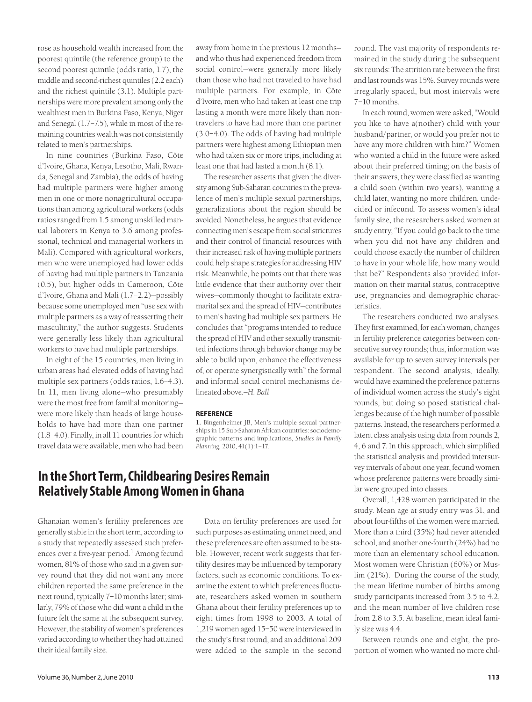rose as household wealth increased from the poorest quintile (the reference group) to the second poorest quintile (odds ratio, 1.7), the middle and second-richest quintiles (2.2 each) and the richest quintile (3.1). Multiple partnerships were more prevalent among only the wealthiest men in Burkina Faso, Kenya, Niger and Senegal (1.7–7.5), while in most of the remaining countries wealth was not consistently related to men's partnerships.

In nine countries (Burkina Faso, Côte d'Ivoire, Ghana, Kenya, Lesotho, Mali, Rwanda, Senegal and Zambia), the odds of having had multiple partners were higher among men in one or more nonagricultural occupations than among agricultural workers (odds ratios ranged from 1.5 among unskilled manual laborers in Kenya to 3.6 among professional, technical and managerial workers in Mali). Compared with agricultural workers, men who were unemployed had lower odds of having had multiple partners in Tanzania (0.5), but higher odds in Cameroon, Côte d'Ivoire, Ghana and Mali (1.7–2.2)—possibly because some unemployed men "use sex with multiple partners as a way of reasserting their masculinity," the author suggests. Students were generally less likely than agricultural workers to have had multiple partnerships.

In eight of the 15 countries, men living in urban areas had elevated odds of having had multiple sex partners (odds ratios, 1.6–4.3). In 11, men living alone—who presumably were the most free from familial monitoring were more likely than heads of large households to have had more than one partner (1.8–4.0). Finally, in all 11 countries for which travel data were available, men who had been

away from home in the previous 12 months and who thus had experienced freedom from social control—were generally more likely than those who had not traveled to have had multiple partners. For example, in Côte d'Ivoire, men who had taken at least one trip lasting a month were more likely than nontravelers to have had more than one partner (3.0–4.0). The odds of having had multiple partners were highest among Ethiopian men who had taken six or more trips, including at least one that had lasted a month (8.1).

The researcher asserts that given the diversity among Sub-Saharan countries in the prevalence of men's multiple sexual partnerships, generalizations about the region should be avoided. Nonetheless, he argues that evidence connecting men's escape from social strictures and their control of financial resources with their increased risk of having multiple partners could help shape strategies for addressing HIV risk. Meanwhile, he points out that there was little evidence that their authority over their wives—commonly thought to facilitate extramarital sex and the spread of HIV—contributes to men's having had multiple sex partners. He concludes that "programs intended to reduce the spread of HIV and other sexually transmitted infections through behavior change may be able to build upon, enhance the effectiveness of, or operate synergistically with" the formal and informal social control mechanisms delineated above.*—H. Ball*

#### **REFERENCE**

**1.** Bingenheimer JB, Men's multiple sexual partnerships in 15 Sub-Saharan African countries: sociodemographic patterns and implications, *Studies in Family Planning,* 2010, 41(1):1–17.

# **In the Short Term, Childbearing Desires Remain Relatively Stable Among Women in Ghana**

Ghanaian women's fertility preferences are generally stable in the short term, according to a study that repeatedly assessed such preferences over a five-year period.<sup>1</sup> Among fecund women, 81% of those who said in a given survey round that they did not want any more children reported the same preference in the next round, typically 7–10 months later; similarly, 79% of those who did want a child in the future felt the same at the subsequent survey. However, the stability of women's preferences varied according to whether they had attained their ideal family size.

Data on fertility preferences are used for such purposes as estimating unmet need, and these preferences are often assumed to be stable. However, recent work suggests that fertility desires may be influenced by temporary factors, such as economic conditions. To examine the extent to which preferences fluctuate, researchers asked women in southern Ghana about their fertility preferences up to eight times from 1998 to 2003. A total of 1,219 women aged 15–50 were interviewed in the study's first round, and an additional 209 were added to the sample in the second

round. The vast majority of respondents remained in the study during the subsequent six rounds: The attrition rate between the first and last rounds was 15%. Survey rounds were irregularly spaced, but most intervals were 7–10 months.

In each round, women were asked, "Would you like to have a(nother) child with your husband/partner, or would you prefer not to have any more children with him?" Women who wanted a child in the future were asked about their preferred timing; on the basis of their answers, they were classified as wanting a child soon (within two years), wanting a child later, wanting no more children, undecided or infecund. To assess women's ideal family size, the researchers asked women at study entry, "If you could go back to the time when you did not have any children and could choose exactly the number of children to have in your whole life, how many would that be?" Respondents also provided information on their marital status, contraceptive use, pregnancies and demographic characteristics.

The researchers conducted two analyses. They first examined, for each woman, changes in fertility preference categories between consecutive survey rounds; thus, information was available for up to seven survey intervals per respondent. The second analysis, ideally, would have examined the preference patterns of individual women across the study's eight rounds, but doing so posed statistical challenges because of the high number of possible patterns. Instead, the researchers performed a latent class analysis using data from rounds 2, 4, 6 and 7. In this approach, which simplified the statistical analysis and provided intersurvey intervals of about one year, fecund women whose preference patterns were broadly similar were grouped into classes.

Overall, 1,428 women participated in the study. Mean age at study entry was 31, and about four-fifths of the women were married. More than a third (35%) had never attended school, and another one-fourth (24%) had no more than an elementary school education. Most women were Christian (60%) or Muslim (21%). During the course of the study, the mean lifetime number of births among study participants increased from 3.5 to 4.2, and the mean number of live children rose from 2.8 to 3.5. At baseline, mean ideal family size was 4.4.

Between rounds one and eight, the proportion of women who wanted no more chil-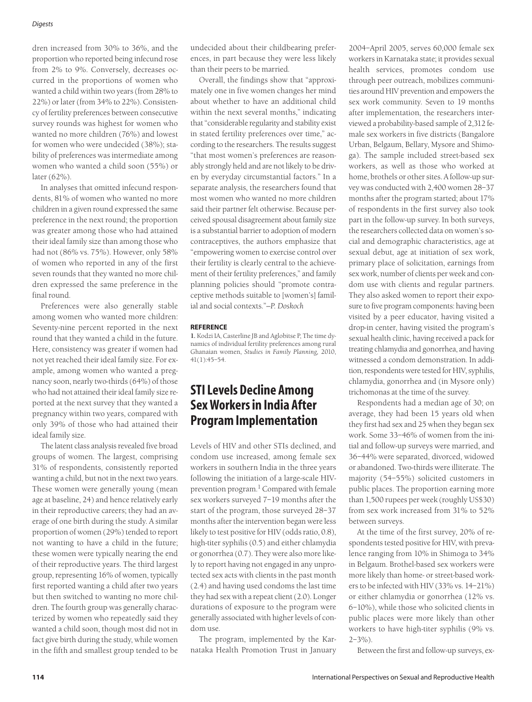#### *Digests*

dren increased from 30% to 36%, and the proportion who reported being infecund rose from 2% to 9%. Conversely, decreases occurred in the proportions of women who wanted a child within two years (from 28% to 22%) or later (from 34% to 22%). Consistency of fertility preferences between consecutive survey rounds was highest for women who wanted no more children (76%) and lowest for women who were undecided (38%); stability of preferences was intermediate among women who wanted a child soon (55%) or later (62%).

In analyses that omitted infecund respondents, 81% of women who wanted no more children in a given round expressed the same preference in the next round; the proportion was greater among those who had attained their ideal family size than among those who had not (86% vs. 75%). However, only 58% of women who reported in any of the first seven rounds that they wanted no more children expressed the same preference in the final round.

Preferences were also generally stable among women who wanted more children: Seventy-nine percent reported in the next round that they wanted a child in the future. Here, consistency was greater if women had not yet reached their ideal family size. For example, among women who wanted a pregnancy soon, nearly two-thirds (64%) of those who had not attained their ideal family size reported at the next survey that they wanted a pregnancy within two years, compared with only 39% of those who had attained their ideal family size.

The latent class analysis revealed five broad groups of women. The largest, comprising 31% of respondents, consistently reported wanting a child, but not in the next two years. These women were generally young (mean age at baseline, 24) and hence relatively early in their reproductive careers; they had an average of one birth during the study. A similar proportion of women (29%) tended to report not wanting to have a child in the future; these women were typically nearing the end of their reproductive years. The third largest group, representing 16% of women, typically first reported wanting a child after two years but then switched to wanting no more children. The fourth group was generally characterized by women who repeatedly said they wanted a child soon, though most did not in fact give birth during the study, while women in the fifth and smallest group tended to be

undecided about their childbearing preferences, in part because they were less likely than their peers to be married.

Overall, the findings show that "approximately one in five women changes her mind about whether to have an additional child within the next several months," indicating that "considerable regularity and stability exist in stated fertility preferences over time," according to the researchers. The results suggest "that most women's preferences are reasonably strongly held and are not likely to be driven by everyday circumstantial factors." In a separate analysis, the researchers found that most women who wanted no more children said their partner felt otherwise. Because perceived spousal disagreement about family size is a substantial barrier to adoption of modern contraceptives, the authors emphasize that "empowering women to exercise control over their fertility is clearly central to the achievement of their fertility preferences," and family planning policies should "promote contraceptive methods suitable to [women's] familial and social contexts."*—P. Doskoch*

### **REFERENCE**

**1.** Kodzi IA, Casterline JB and Aglobitse P, The time dynamics of individual fertility preferences among rural Ghanaian women, *Studies in Family Planning,* 2010, 41(1):45–54.

# **STI Levels Decline Among Sex Workers in India After Program Implementation**

Levels of HIV and other STIs declined, and condom use increased, among female sex workers in southern India in the three years following the initiation of a large-scale HIVprevention program.<sup>1</sup> Compared with female sex workers surveyed 7–19 months after the start of the program, those surveyed 28–37 months after the intervention began were less likely to test positive for HIV (odds ratio, 0.8), high-titer syphilis (0.5) and either chlamydia or gonorrhea (0.7). They were also more likely to report having not engaged in any unprotected sex acts with clients in the past month (2.4) and having used condoms the last time they had sex with a repeat client (2.0). Longer durations of exposure to the program were generally associated with higher levels of condom use.

The program, implemented by the Karnataka Health Promotion Trust in January

2004–April 2005, serves 60,000 female sex workers in Karnataka state; it provides sexual health services, promotes condom use through peer outreach, mobilizes communities around HIV prevention and empowers the sex work community. Seven to 19 months after implementation, the researchers interviewed a probability-based sample of 2,312 female sex workers in five districts (Bangalore Urban, Belgaum, Bellary, Mysore and Shimoga). The sample included street-based sex workers, as well as those who worked at home, brothels or other sites. A follow-up survey was conducted with 2,400 women 28–37 months after the program started; about 17% of respondents in the first survey also took part in the follow-up survey. In both surveys, the researchers collected data on women's social and demographic characteristics, age at sexual debut, age at initiation of sex work, primary place of solicitation, earnings from sex work, number of clients per week and condom use with clients and regular partners. They also asked women to report their exposure to five program components: having been visited by a peer educator, having visited a drop-in center, having visited the program's sexual health clinic, having received a pack for treating chlamydia and gonorrhea, and having witnessed a condom demonstration. In addition, respondents were tested for HIV, syphilis, chlamydia, gonorrhea and (in Mysore only) trichomonas at the time of the survey.

Respondents had a median age of 30; on average, they had been 15 years old when they first had sex and 25 when they began sex work. Some 33–46% of women from the initial and follow-up surveys were married, and 36–44% were separated, divorced, widowed or abandoned. Two-thirds were illiterate. The majority (54–55%) solicited customers in public places. The proportion earning more than 1,500 rupees per week (roughly US\$30) from sex work increased from 31% to 52% between surveys.

At the time of the first survey, 20% of respondents tested positive for HIV, with prevalence ranging from 10% in Shimoga to 34% in Belgaum. Brothel-based sex workers were more likely than home- or street-based workers to be infected with HIV (33% vs. 14–21%) or either chlamydia or gonorrhea (12% vs. 6–10%), while those who solicited clients in public places were more likely than other workers to have high-titer syphilis (9% vs.  $2 - 3\%$ ).

Between the first and follow-up surveys, ex-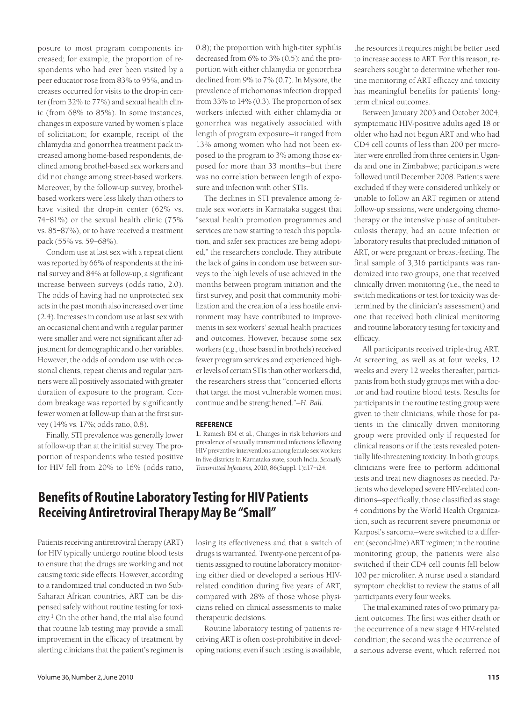posure to most program components increased; for example, the proportion of respondents who had ever been visited by a peer educator rose from 83% to 95%, and increases occurred for visits to the drop-in center (from 32% to 77%) and sexual health clinic (from 68% to 85%). In some instances, changes in exposure varied by women's place of solicitation; for example, receipt of the chlamydia and gonorrhea treatment pack increased among home-based respondents, declined among brothel-based sex workers and did not change among street-based workers. Moreover, by the follow-up survey, brothelbased workers were less likely than others to have visited the drop-in center (62% vs. 74–81%) or the sexual health clinic (75% vs. 85–87%), or to have received a treatment pack (55% vs. 59–68%).

Condom use at last sex with a repeat client was reported by 66% of respondents at the initial survey and 84% at follow-up, a significant increase between surveys (odds ratio, 2.0). The odds of having had no unprotected sex acts in the past month also increased over time (2.4). Increases in condom use at last sex with an occasional client and with a regular partner were smaller and were not significant after adjustment for demographic and other variables. However, the odds of condom use with occasional clients, repeat clients and regular partners were all positively associated with greater duration of exposure to the program. Condom breakage was reported by significantly fewer women at follow-up than at the first survey (14% vs. 17%; odds ratio, 0.8).

Finally, STI prevalence was generally lower at follow-up than at the initial survey. The proportion of respondents who tested positive for HIV fell from 20% to 16% (odds ratio, 0.8); the proportion with high-titer syphilis decreased from 6% to 3% (0.5); and the proportion with either chlamydia or gonorrhea declined from 9% to 7% (0.7). In Mysore, the prevalence of trichomonas infection dropped from 33% to 14% (0.3). The proportion of sex workers infected with either chlamydia or gonorrhea was negatively associated with length of program exposure—it ranged from 13% among women who had not been exposed to the program to 3% among those exposed for more than 33 months—but there was no correlation between length of exposure and infection with other STIs.

The declines in STI prevalence among female sex workers in Karnataka suggest that "sexual health promotion programmes and services are now starting to reach this population, and safer sex practices are being adopted," the researchers conclude. They attribute the lack of gains in condom use between surveys to the high levels of use achieved in the months between program initiation and the first survey, and posit that community mobilization and the creation of a less hostile environment may have contributed to improvements in sex workers' sexual health practices and outcomes. However, because some sex workers (e.g., those based in brothels) received fewer program services and experienced higher levels of certain STIs than other workers did, the researchers stress that "concerted efforts that target the most vulnerable women must continue and be strengthened."*—H. Ball.*

### **REFERENCE**

**1.** Ramesh BM et al., Changes in risk behaviors and prevalence of sexually transmitted infections following HIV preventive interventions among female sex workers in five districts in Karnataka state, south India, *Sexually Transmitted Infections,* 2010, 86(Suppl. 1):i17–i24.

# **Benefits of Routine Laboratory Testing for HIV Patients Receiving Antiretroviral Therapy May Be "Small"**

Patients receiving antiretroviral therapy (ART) for HIV typically undergo routine blood tests to ensure that the drugs are working and not causing toxic side effects. However, according to a randomized trial conducted in two Sub-Saharan African countries, ART can be dispensed safely without routine testing for toxicity.<sup>1</sup> On the other hand, the trial also found that routine lab testing may provide a small improvement in the efficacy of treatment by alerting clinicians that the patient's regimen is losing its effectiveness and that a switch of drugs is warranted. Twenty-one percent of patients assigned to routine laboratory monitoring either died or developed a serious HIVrelated condition during five years of ART, compared with 28% of those whose physicians relied on clinical assessments to make therapeutic decisions.

Routine laboratory testing of patients receiving ART is often cost-prohibitive in developing nations; even if such testing is available, the resources it requires might be better used to increase access to ART. For this reason, researchers sought to determine whether routine monitoring of ART efficacy and toxicity has meaningful benefits for patients' longterm clinical outcomes.

Between January 2003 and October 2004, symptomatic HIV-positive adults aged 18 or older who had not begun ART and who had CD4 cell counts of less than 200 per microliter were enrolled from three centers in Uganda and one in Zimbabwe; participants were followed until December 2008. Patients were excluded if they were considered unlikely or unable to follow an ART regimen or attend follow-up sessions, were undergoing chemotherapy or the intensive phase of antituberculosis therapy, had an acute infection or laboratory results that precluded initiation of ART, or were pregnant or breast-feeding. The final sample of 3,316 participants was randomized into two groups, one that received clinically driven monitoring (i.e., the need to switch medications or test for toxicity was determined by the clinician's assessment) and one that received both clinical monitoring and routine laboratory testing for toxicity and efficacy.

All participants received triple-drug ART. At screening, as well as at four weeks, 12 weeks and every 12 weeks thereafter, participants from both study groups met with a doctor and had routine blood tests. Results for participants in the routine testing group were given to their clinicians, while those for patients in the clinically driven monitoring group were provided only if requested for clinical reasons or if the tests revealed potentially life-threatening toxicity. In both groups, clinicians were free to perform additional tests and treat new diagnoses as needed. Patients who developed severe HIV-related conditions—specifically, those classified as stage 4 conditions by the World Health Organization, such as recurrent severe pneumonia or Karposi's sarcoma—were switched to a different (second-line) ART regimen; in the routine monitoring group, the patients were also switched if their CD4 cell counts fell below 100 per microliter. A nurse used a standard symptom checklist to review the status of all participants every four weeks.

The trial examined rates of two primary patient outcomes. The first was either death or the occurrence of a new stage 4 HIV-related condition; the second was the occurrence of a serious adverse event, which referred not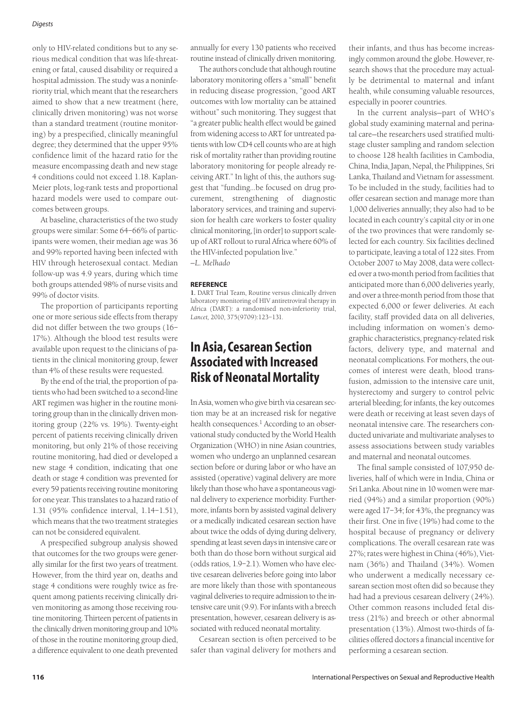#### *Digests*

only to HIV-related conditions but to any serious medical condition that was life-threatening or fatal, caused disability or required a hospital admission. The study was a noninferiority trial, which meant that the researchers aimed to show that a new treatment (here, clinically driven monitoring) was not worse than a standard treatment (routine monitoring) by a prespecified, clinically meaningful degree; they determined that the upper 95% confidence limit of the hazard ratio for the measure encompassing death and new stage 4 conditions could not exceed 1.18. Kaplan-Meier plots, log-rank tests and proportional hazard models were used to compare outcomes between groups.

At baseline, characteristics of the two study groups were similar: Some 64–66% of participants were women, their median age was 36 and 99% reported having been infected with HIV through heterosexual contact. Median follow-up was 4.9 years, during which time both groups attended 98% of nurse visits and 99% of doctor visits.

The proportion of participants reporting one or more serious side effects from therapy did not differ between the two groups (16– 17%). Although the blood test results were available upon request to the clinicians of patients in the clinical monitoring group, fewer than 4% of these results were requested.

By the end of the trial, the proportion of patients who had been switched to a second-line ART regimen was higher in the routine monitoring group than in the clinically driven monitoring group (22% vs. 19%). Twenty-eight percent of patients receiving clinically driven monitoring, but only 21% of those receiving routine monitoring, had died or developed a new stage 4 condition, indicating that one death or stage 4 condition was prevented for every 59 patients receiving routine monitoring for one year. This translates to a hazard ratio of 1.31 (95% confidence interval, 1.14–1.51), which means that the two treatment strategies can not be considered equivalent.

A prespecified subgroup analysis showed that outcomes for the two groups were generally similar for the first two years of treatment. However, from the third year on, deaths and stage 4 conditions were roughly twice as frequent among patients receiving clinically driven monitoring as among those receiving routine monitoring. Thirteen percent of patients in the clinically driven monitoring group and 10% of those in the routine monitoring group died, a difference equivalent to one death prevented

annually for every 130 patients who received routine instead of clinically driven monitoring.

The authors conclude that although routine laboratory monitoring offers a "small" benefit in reducing disease progression, "good ART outcomes with low mortality can be attained without" such monitoring. They suggest that "a greater public health effect would be gained from widening access to ART for untreated patients with low CD4 cell counts who are at high risk of mortality rather than providing routine laboratory monitoring for people already receiving ART." In light of this, the authors suggest that "funding…be focused on drug procurement, strengthening of diagnostic laboratory services, and training and supervision for health care workers to foster quality clinical monitoring, [in order] to support scaleup of ART rollout to rural Africa where 60% of the HIV-infected population live." *—L. Melhado*

**REFERENCE**

**1.** DART Trial Team, Routine versus clinically driven laboratory monitoring of HIV antiretroviral therapy in Africa (DART): a randomised non-inferiority trial, *Lancet,* 2010, 375(9709):123–131.

# **In Asia, Cesarean Section Associated with Increased Risk of Neonatal Mortality**

In Asia, women who give birth via cesarean section may be at an increased risk for negative health consequences.<sup>1</sup> According to an observational study conducted by the World Health Organization (WHO) in nine Asian countries, women who undergo an unplanned cesarean section before or during labor or who have an assisted (operative) vaginal delivery are more likely than those who have a spontaneous vaginal delivery to experience morbidity. Furthermore, infants born by assisted vaginal delivery or a medically indicated cesarean section have about twice the odds of dying during delivery, spending at least seven days in intensive care or both than do those born without surgical aid (odds ratios, 1.9–2.1). Women who have elective cesarean deliveries before going into labor are more likely than those with spontaneous vaginal deliveries to require admission to the intensive care unit (9.9). For infants with a breech presentation, however, cesarean delivery is associated with reduced neonatal mortality.

Cesarean section is often perceived to be safer than vaginal delivery for mothers and

their infants, and thus has become increasingly common around the globe. However, research shows that the procedure may actually be detrimental to maternal and infant health, while consuming valuable resources, especially in poorer countries.

In the current analysis—part of WHO's global study examining maternal and perinatal care—the researchers used stratified multistage cluster sampling and random selection to choose 128 health facilities in Cambodia, China, India, Japan, Nepal, the Philippines, Sri Lanka, Thailand and Vietnam for assessment. To be included in the study, facilities had to offer cesarean section and manage more than 1,000 deliveries annually; they also had to be located in each country's capital city or in one of the two provinces that were randomly selected for each country. Six facilities declined to participate, leaving a total of 122 sites. From October 2007 to May 2008, data were collected over a two-month period from facilities that anticipated more than 6,000 deliveries yearly, and over a three-month period from those that expected 6,000 or fewer deliveries. At each facility, staff provided data on all deliveries, including information on women's demographic characteristics, pregnancy-related risk factors, delivery type, and maternal and neonatal complications. For mothers, the outcomes of interest were death, blood transfusion, admission to the intensive care unit, hysterectomy and surgery to control pelvic arterial bleeding; for infants, the key outcomes were death or receiving at least seven days of neonatal intensive care. The researchers conducted univariate and multivariate analyses to assess associations between study variables and maternal and neonatal outcomes.

The final sample consisted of 107,950 deliveries, half of which were in India, China or Sri Lanka. About nine in 10 women were married (94%) and a similar proportion (90%) were aged 17–34; for 43%, the pregnancy was their first. One in five (19%) had come to the hospital because of pregnancy or delivery complications. The overall cesarean rate was 27%; rates were highest in China (46%), Vietnam (36%) and Thailand (34%). Women who underwent a medically necessary cesarean section most often did so because they had had a previous cesarean delivery (24%). Other common reasons included fetal distress (21%) and breech or other abnormal presentation (13%). Almost two-thirds of facilities offered doctors a financial incentive for performing a cesarean section.